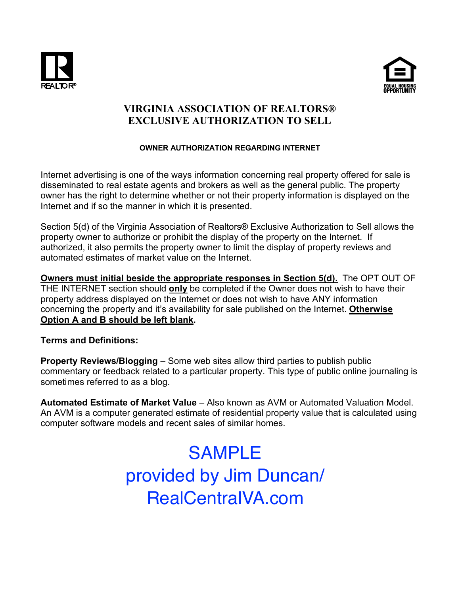



# **VIRGINIA ASSOCIATION OF REALTORS® EXCLUSIVE AUTHORIZATION TO SELL**

### **OWNER AUTHORIZATION REGARDING INTERNET**

Internet advertising is one of the ways information concerning real property offered for sale is disseminated to real estate agents and brokers as well as the general public. The property owner has the right to determine whether or not their property information is displayed on the Internet and if so the manner in which it is presented.

Section 5(d) of the Virginia Association of Realtors® Exclusive Authorization to Sell allows the property owner to authorize or prohibit the display of the property on the Internet. If authorized, it also permits the property owner to limit the display of property reviews and automated estimates of market value on the Internet.

**Owners must initial beside the appropriate responses in Section 5(d).** The OPT OUT OF THE INTERNET section should **only** be completed if the Owner does not wish to have their property address displayed on the Internet or does not wish to have ANY information concerning the property and it's availability for sale published on the Internet. **Otherwise Option A and B should be left blank.**

## **Terms and Definitions:**

**Property Reviews/Blogging** – Some web sites allow third parties to publish public commentary or feedback related to a particular property. This type of public online journaling is sometimes referred to as a blog.

**Automated Estimate of Market Value** – Also known as AVM or Automated Valuation Model. An AVM is a computer generated estimate of residential property value that is calculated using computer software models and recent sales of similar homes.

# SAMPLE provided by Jim Duncan/ RealCentralVA.com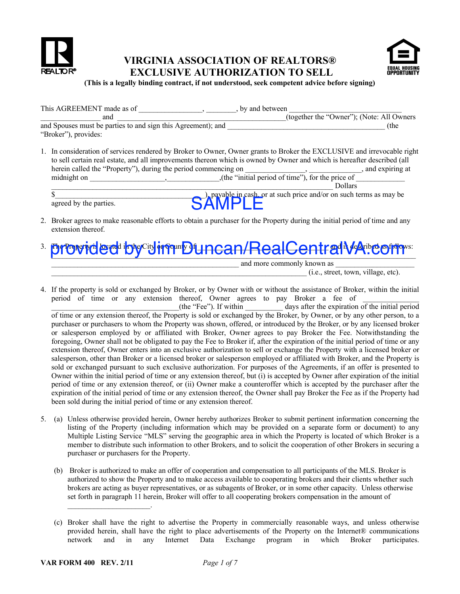

## **VIRGINIA ASSOCIATION OF REALTORS® EXCLUSIVE AUTHORIZATION TO SELL**



**(This is a legally binding contract, if not understood, seek competent advice before signing)**

| This AGREEMENT made as of                                    | by and between                            |
|--------------------------------------------------------------|-------------------------------------------|
| and                                                          | (together the "Owner"); (Note: All Owners |
| and Spouses must be parties to and sign this Agreement); and | (the                                      |
| "Broker"), provides:                                         |                                           |
|                                                              |                                           |

1. In consideration of services rendered by Broker to Owner, Owner grants to Broker the EXCLUSIVE and irrevocable right to sell certain real estate, and all improvements thereon which is owned by Owner and which is hereafter described (all herein called the "Property"), during the period commencing on \_\_\_\_\_\_\_\_\_\_\_ midnight on  $\frac{1}{2}$ ,  $\frac{1}{2}$ ,  $\frac{1}{2}$ ,  $\frac{1}{2}$ ,  $\frac{1}{2}$ ,  $\frac{1}{2}$ ,  $\frac{1}{2}$ ,  $\frac{1}{2}$ ,  $\frac{1}{2}$ ,  $\frac{1}{2}$ ,  $\frac{1}{2}$ ,  $\frac{1}{2}$ ,  $\frac{1}{2}$ ,  $\frac{1}{2}$ ,  $\frac{1}{2}$ ,  $\frac{1}{2}$ ,  $\frac{1}{2}$ ,  $\frac{1}{2}$ ,  $\frac{1}{2}$ , \_\_\_\_\_\_\_\_\_\_\_\_\_\_\_\_\_\_\_\_\_\_\_\_\_\_\_\_\_\_\_\_\_\_\_\_\_\_\_\_\_\_\_\_\_\_\_\_\_\_\_\_\_\_\_\_\_\_\_\_\_\_\_\_\_\_\_\_\_\_\_\_\_\_\_ Dollars

 $\sum_{n=1}^{\infty}$ , payable in cash, or at such price and/or on such terms as may be agreed by the parties.

- 2. Broker agrees to make reasonable efforts to obtain a purchaser for the Property during the initial period of time and any extension thereof.
- 3. The Property is located in the City or County of \_\_\_\_\_\_\_\_\_\_\_\_\_\_\_\_\_\_\_\_\_\_\_\_\_\_\_\_\_\_\_\_\_\_\_ and is described as follows: provided by Jim Duncan/RealCentralVA.com

and more commonly known as

 $(i.e., street, town, village, etc).$ 

4. If the property is sold or exchanged by Broker, or by Owner with or without the assistance of Broker, within the initial period of time or any extension thereof, Owner agrees to pay Broker a fee of \_\_\_\_\_\_\_\_\_\_\_\_\_\_\_

days after the expiration of the initial period of time or any extension thereof, the Property is sold or exchanged by the Broker, by Owner, or by any other person, to a purchaser or purchasers to whom the Property was shown, offered, or introduced by the Broker, or by any licensed broker or salesperson employed by or affiliated with Broker, Owner agrees to pay Broker the Fee. Notwithstanding the foregoing, Owner shall not be obligated to pay the Fee to Broker if, after the expiration of the initial period of time or any extension thereof, Owner enters into an exclusive authorization to sell or exchange the Property with a licensed broker or salesperson, other than Broker or a licensed broker or salesperson employed or affiliated with Broker, and the Property is sold or exchanged pursuant to such exclusive authorization. For purposes of the Agreements, if an offer is presented to Owner within the initial period of time or any extension thereof, but (i) is accepted by Owner after expiration of the initial period of time or any extension thereof, or (ii) Owner make a counteroffer which is accepted by the purchaser after the expiration of the initial period of time or any extension thereof, the Owner shall pay Broker the Fee as if the Property had been sold during the initial period of time or any extension thereof. d by the parties.<br>
SAMPLE  $\blacksquare$ <br>
SAMPLE is a considerable efforts to obtain a purchaser for the Property during the minial period of time and any<br>
signal thereof starts are approximately the effect of the Property during

- 5. (a) Unless otherwise provided herein, Owner hereby authorizes Broker to submit pertinent information concerning the listing of the Property (including information which may be provided on a separate form or document) to any Multiple Listing Service "MLS" serving the geographic area in which the Property is located of which Broker is a member to distribute such information to other Brokers, and to solicit the cooperation of other Brokers in securing a purchaser or purchasers for the Property.
	- (b) Broker is authorized to make an offer of cooperation and compensation to all participants of the MLS. Broker is authorized to show the Property and to make access available to cooperating brokers and their clients whether such brokers are acting as buyer representatives, or as subagents of Broker, or in some other capacity. Unless otherwise set forth in paragraph 11 herein, Broker will offer to all cooperating brokers compensation in the amount of

 $\mathcal{L}_\text{max}$  and  $\mathcal{L}_\text{max}$  and  $\mathcal{L}_\text{max}$ 

<sup>(</sup>c) Broker shall have the right to advertise the Property in commercially reasonable ways, and unless otherwise provided herein, shall have the right to place advertisements of the Property on the Internet® communications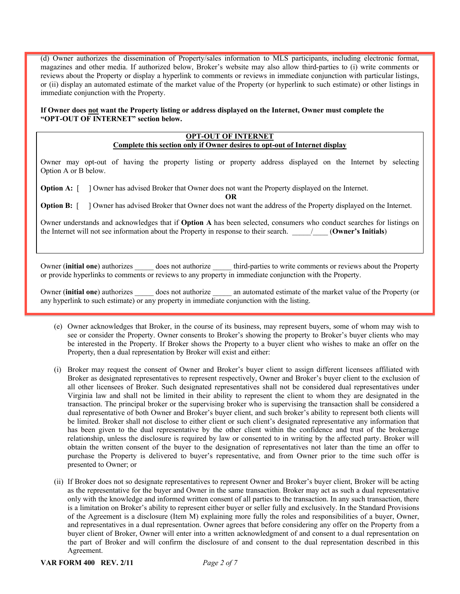(d) Owner authorizes the dissemination of Property/sales information to MLS participants, including electronic format, magazines and other media. If authorized below, Broker's website may also allow third-parties to (i) write comments or reviews about the Property or display a hyperlink to comments or reviews in immediate conjunction with particular listings, or (ii) display an automated estimate of the market value of the Property (or hyperlink to such estimate) or other listings in immediate conjunction with the Property.

**If Owner does not want the Property listing or address displayed on the Internet, Owner must complete the "OPT-OUT OF INTERNET" section below.**

| <b>OPT-OUT OF INTERNET</b><br>Complete this section only if Owner desires to opt-out of Internet display                                                                                                                                                          |  |  |  |  |
|-------------------------------------------------------------------------------------------------------------------------------------------------------------------------------------------------------------------------------------------------------------------|--|--|--|--|
| Owner may opt-out of having the property listing or property address displayed on the Internet by selecting<br>Option A or B below.                                                                                                                               |  |  |  |  |
| <b>Option A:</b> $\bigcup$ Owner has advised Broker that Owner does not want the Property displayed on the Internet.<br>OR<br><b>Option B:</b> $\bigcup$ Owner has advised Broker that Owner does not want the address of the Property displayed on the Internet. |  |  |  |  |
| Owner understands and acknowledges that if <b>Option A</b> has been selected, consumers who conduct searches for listings on<br>the Internet will not see information about the Property in response to their search. (Owner's Initials)                          |  |  |  |  |
|                                                                                                                                                                                                                                                                   |  |  |  |  |

Owner (**initial one**) authorizes does not authorize third-parties to write comments or reviews about the Property or provide hyperlinks to comments or reviews to any property in immediate conjunction with the Property.

Owner (**initial one**) authorizes \_\_\_\_\_ does not authorize \_\_\_\_\_ an automated estimate of the market value of the Property (or any hyperlink to such estimate) or any property in immediate conjunction with the listing.

- (e) Owner acknowledges that Broker, in the course of its business, may represent buyers, some of whom may wish to see or consider the Property. Owner consents to Broker's showing the property to Broker's buyer clients who may be interested in the Property. If Broker shows the Property to a buyer client who wishes to make an offer on the Property, then a dual representation by Broker will exist and either:
- (i) Broker may request the consent of Owner and Broker's buyer client to assign different licensees affiliated with Broker as designated representatives to represent respectively, Owner and Broker's buyer client to the exclusion of all other licensees of Broker. Such designated representatives shall not be considered dual representatives under Virginia law and shall not be limited in their ability to represent the client to whom they are designated in the transaction. The principal broker or the supervising broker who is supervising the transaction shall be considered a dual representative of both Owner and Broker's buyer client, and such broker's ability to represent both clients will be limited. Broker shall not disclose to either client or such client's designated representative any information that has been given to the dual representative by the other client within the confidence and trust of the brokerage relationship, unless the disclosure is required by law or consented to in writing by the affected party. Broker will obtain the written consent of the buyer to the designation of representatives not later than the time an offer to purchase the Property is delivered to buyer's representative, and from Owner prior to the time such offer is presented to Owner; or
- (ii) If Broker does not so designate representatives to represent Owner and Broker's buyer client, Broker will be acting as the representative for the buyer and Owner in the same transaction. Broker may act as such a dual representative only with the knowledge and informed written consent of all parties to the transaction. In any such transaction, there is a limitation on Broker's ability to represent either buyer or seller fully and exclusively. In the Standard Provisions of the Agreement is a disclosure (Item M) explaining more fully the roles and responsibilities of a buyer, Owner, and representatives in a dual representation. Owner agrees that before considering any offer on the Property from a buyer client of Broker, Owner will enter into a written acknowledgment of and consent to a dual representation on the part of Broker and will confirm the disclosure of and consent to the dual representation described in this Agreement.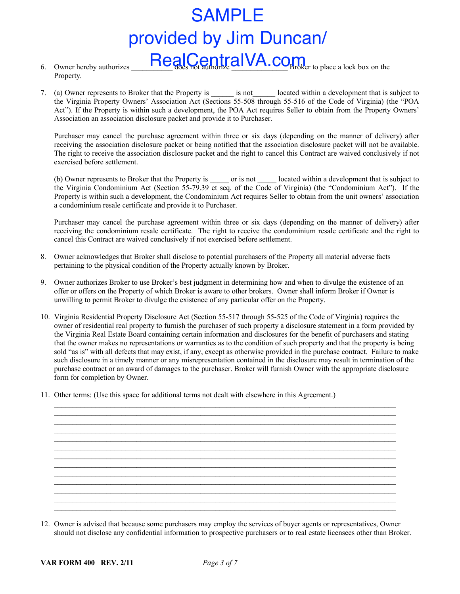# provided by Jim Duncan/

- 6. Owner hereby authorizes  $\Box$ Real $\Box$ CentralVA.com Property.
- 7. (a) Owner represents to Broker that the Property is  $\Box$  is not  $\Box$  located within a development that is subject to the Virginia Property Owners' Association Act (Sections 55-508 through 55-516 of the Code of Virginia) (the "POA Act"). If the Property is within such a development, the POA Act requires Seller to obtain from the Property Owners' Association an association disclosure packet and provide it to Purchaser.

Purchaser may cancel the purchase agreement within three or six days (depending on the manner of delivery) after receiving the association disclosure packet or being notified that the association disclosure packet will not be available. The right to receive the association disclosure packet and the right to cancel this Contract are waived conclusively if not exercised before settlement.

(b) Owner represents to Broker that the Property is  $\|\cdot\|$  or is not  $\|\cdot\|$  located within a development that is subject to the Virginia Condominium Act (Section 55-79.39 et seq. of the Code of Virginia) (the "Condominium Act"). If the Property is within such a development, the Condominium Act requires Seller to obtain from the unit owners' association a condominium resale certificate and provide it to Purchaser.

Purchaser may cancel the purchase agreement within three or six days (depending on the manner of delivery) after receiving the condominium resale certificate. The right to receive the condominium resale certificate and the right to cancel this Contract are waived conclusively if not exercised before settlement.

- 8. Owner acknowledges that Broker shall disclose to potential purchasers of the Property all material adverse facts pertaining to the physical condition of the Property actually known by Broker.
- 9. Owner authorizes Broker to use Broker's best judgment in determining how and when to divulge the existence of an offer or offers on the Property of which Broker is aware to other brokers. Owner shall inform Broker if Owner is unwilling to permit Broker to divulge the existence of any particular offer on the Property.
- 10. Virginia Residential Property Disclosure Act (Section 55-517 through 55-525 of the Code of Virginia) requires the owner of residential real property to furnish the purchaser of such property a disclosure statement in a form provided by the Virginia Real Estate Board containing certain information and disclosures for the benefit of purchasers and stating that the owner makes no representations or warranties as to the condition of such property and that the property is being sold "as is" with all defects that may exist, if any, except as otherwise provided in the purchase contract. Failure to make such disclosure in a timely manner or any misrepresentation contained in the disclosure may result in termination of the purchase contract or an award of damages to the purchaser. Broker will furnish Owner with the appropriate disclosure form for completion by Owner. SAMPLE<br>
Denot hereby malnetes. **From all Confidential information** to real estate any confidential information to the subset of the property of the summer or the subset of the summer or the subset of the summer or the sub

 $\mathcal{L}_\mathcal{L} = \{ \mathcal{L}_\mathcal{L} = \{ \mathcal{L}_\mathcal{L} = \{ \mathcal{L}_\mathcal{L} = \{ \mathcal{L}_\mathcal{L} = \{ \mathcal{L}_\mathcal{L} = \{ \mathcal{L}_\mathcal{L} = \{ \mathcal{L}_\mathcal{L} = \{ \mathcal{L}_\mathcal{L} = \{ \mathcal{L}_\mathcal{L} = \{ \mathcal{L}_\mathcal{L} = \{ \mathcal{L}_\mathcal{L} = \{ \mathcal{L}_\mathcal{L} = \{ \mathcal{L}_\mathcal{L} = \{ \mathcal{L}_\mathcal{$  $\mathcal{L}_\mathcal{L} = \mathcal{L}_\mathcal{L}$ 

 $\mathcal{L}_\mathcal{L} = \{ \mathcal{L}_\mathcal{L} = \{ \mathcal{L}_\mathcal{L} = \{ \mathcal{L}_\mathcal{L} = \{ \mathcal{L}_\mathcal{L} = \{ \mathcal{L}_\mathcal{L} = \{ \mathcal{L}_\mathcal{L} = \{ \mathcal{L}_\mathcal{L} = \{ \mathcal{L}_\mathcal{L} = \{ \mathcal{L}_\mathcal{L} = \{ \mathcal{L}_\mathcal{L} = \{ \mathcal{L}_\mathcal{L} = \{ \mathcal{L}_\mathcal{L} = \{ \mathcal{L}_\mathcal{L} = \{ \mathcal{L}_\mathcal{$  $\mathcal{L}_\mathcal{L} = \{ \mathcal{L}_\mathcal{L} = \{ \mathcal{L}_\mathcal{L} = \{ \mathcal{L}_\mathcal{L} = \{ \mathcal{L}_\mathcal{L} = \{ \mathcal{L}_\mathcal{L} = \{ \mathcal{L}_\mathcal{L} = \{ \mathcal{L}_\mathcal{L} = \{ \mathcal{L}_\mathcal{L} = \{ \mathcal{L}_\mathcal{L} = \{ \mathcal{L}_\mathcal{L} = \{ \mathcal{L}_\mathcal{L} = \{ \mathcal{L}_\mathcal{L} = \{ \mathcal{L}_\mathcal{L} = \{ \mathcal{L}_\mathcal{$ 

 $\mathcal{L}_\mathcal{L} = \{ \mathcal{L}_\mathcal{L} = \{ \mathcal{L}_\mathcal{L} = \{ \mathcal{L}_\mathcal{L} = \{ \mathcal{L}_\mathcal{L} = \{ \mathcal{L}_\mathcal{L} = \{ \mathcal{L}_\mathcal{L} = \{ \mathcal{L}_\mathcal{L} = \{ \mathcal{L}_\mathcal{L} = \{ \mathcal{L}_\mathcal{L} = \{ \mathcal{L}_\mathcal{L} = \{ \mathcal{L}_\mathcal{L} = \{ \mathcal{L}_\mathcal{L} = \{ \mathcal{L}_\mathcal{L} = \{ \mathcal{L}_\mathcal{$ 

 $\mathcal{L}_\mathcal{L} = \{ \mathcal{L}_\mathcal{L} = \{ \mathcal{L}_\mathcal{L} = \{ \mathcal{L}_\mathcal{L} = \{ \mathcal{L}_\mathcal{L} = \{ \mathcal{L}_\mathcal{L} = \{ \mathcal{L}_\mathcal{L} = \{ \mathcal{L}_\mathcal{L} = \{ \mathcal{L}_\mathcal{L} = \{ \mathcal{L}_\mathcal{L} = \{ \mathcal{L}_\mathcal{L} = \{ \mathcal{L}_\mathcal{L} = \{ \mathcal{L}_\mathcal{L} = \{ \mathcal{L}_\mathcal{L} = \{ \mathcal{L}_\mathcal{$  $\mathcal{L}_\mathcal{L} = \{ \mathcal{L}_\mathcal{L} = \{ \mathcal{L}_\mathcal{L} = \{ \mathcal{L}_\mathcal{L} = \{ \mathcal{L}_\mathcal{L} = \{ \mathcal{L}_\mathcal{L} = \{ \mathcal{L}_\mathcal{L} = \{ \mathcal{L}_\mathcal{L} = \{ \mathcal{L}_\mathcal{L} = \{ \mathcal{L}_\mathcal{L} = \{ \mathcal{L}_\mathcal{L} = \{ \mathcal{L}_\mathcal{L} = \{ \mathcal{L}_\mathcal{L} = \{ \mathcal{L}_\mathcal{L} = \{ \mathcal{L}_\mathcal{$ 

11. Other terms: (Use this space for additional terms not dealt with elsewhere in this Agreement.)

| 12. Owner is advised that because some purchasers may employ the services of buyer agents or representatives, Owner      |
|--------------------------------------------------------------------------------------------------------------------------|
| should not disclose any confidential information to prospective purchasers or to real estate licensees other than Broker |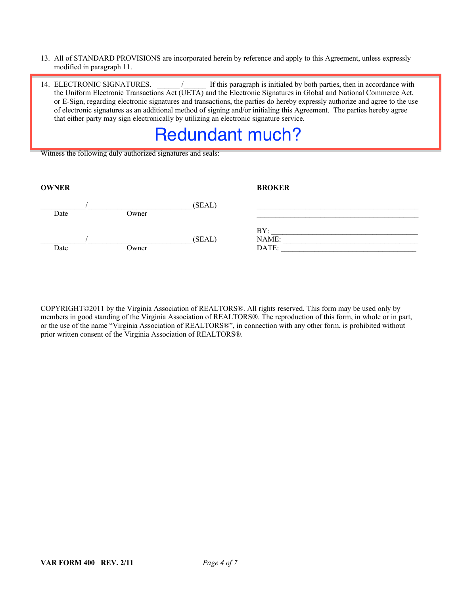#### 13. All of STANDARD PROVISIONS are incorporated herein by reference and apply to this Agreement, unless expressly modified in paragraph 11.

14. ELECTRONIC SIGNATURES.  $\blacksquare$  / If this paragraph is initialed by both parties, then in accordance with the Uniform Electronic Transactions Act (UETA) and the Electronic Signatures in Global and National Commerce Act, or E-Sign, regarding electronic signatures and transactions, the parties do hereby expressly authorize and agree to the use of electronic signatures as an additional method of signing and/or initialing this Agreement. The parties hereby agree that either party may sign electronically by utilizing an electronic signature service.

# Redundant much?

Witness the following duly authorized signatures and seals:

| <b>OWNER</b> |       |        | <b>BROKER</b>         |
|--------------|-------|--------|-----------------------|
| Date         | Owner | (SEAL) |                       |
| Date         | Owner | (SEAL) | BY:<br>NAME:<br>DATE: |

COPYRIGHT©2011 by the Virginia Association of REALTORS®. All rights reserved. This form may be used only by members in good standing of the Virginia Association of REALTORS®. The reproduction of this form, in whole or in part, or the use of the name "Virginia Association of REALTORS®", in connection with any other form, is prohibited without prior written consent of the Virginia Association of REALTORS®.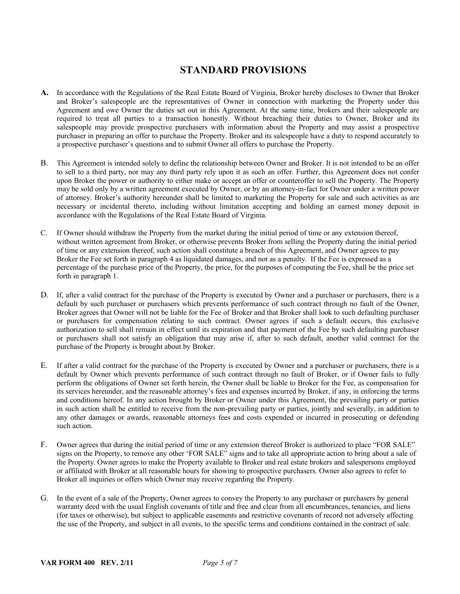# **STANDARD PROVISIONS**

- **A.** In accordance with the Regulations of the Real Estate Board of Virginia, Broker hereby discloses to Owner that Broker and Broker's salespeople are the representatives of Owner in connection with marketing the Property under this Agreement and owe Owner the duties set out in this Agreement. At the same time, brokers and their salespeople are required to treat all parties to a transaction honestly. Without breaching their duties to Owner, Broker and its salespeople may provide prospective purchasers with information about the Property and may assist a prospective purchaser in preparing an offer to purchase the Property. Broker and its salespeople have a duty to respond accurately to a prospective purchaser's questions and to submit Owner all offers to purchase the Property.
- B. This Agreement is intended solely to define the relationship between Owner and Broker. It is not intended to be an offer to sell to a third party, nor may any third party rely upon it as such an offer. Further, this Agreement does not confer upon Broker the power or authority to either make or accept an offer or counteroffer to sell the Property. The Property may be sold only by a written agreement executed by Owner, or by an attorney-in-fact for Owner under a written power of attorney. Broker's authority hereunder shall be limited to marketing the Property for sale and such activities as are necessary or incidental thereto, including without limitation accepting and holding an earnest money deposit in accordance with the Regulations of the Real Estate Board of Virginia.
- C. If Owner should withdraw the Property from the market during the initial period of time or any extension thereof, without written agreement from Broker, or otherwise prevents Broker from selling the Property during the initial period of time or any extension thereof, such action shall constitute a breach of this Agreement, and Owner agrees to pay Broker the Fee set forth in paragraph 4 as liquidated damages, and not as a penalty. If the Fee is expressed as a percentage of the purchase price of the Property, the price, for the purposes of computing the Fee, shall be the price set forth in paragraph 1.
- D. If, after a valid contract for the purchase of the Property is executed by Owner and a purchaser or purchasers, there is a default by such purchaser or purchasers which prevents performance of such contract through no fault of the Owner, Broker agrees that Owner will not be liable for the Fee of Broker and that Broker shall look to such defaulting purchaser or purchasers for compensation relating to such contract. Owner agrees if such a default occurs, this exclusive authorization to sell shall remain in effect until its expiration and that payment of the Fee by such defaulting purchaser or purchasers shall not satisfy an obligation that may arise if, after to such default, another valid contract for the purchase of the Property is brought about by Broker.
- E. If after a valid contract for the purchase of the Property is executed by Owner and a purchaser or purchasers, there is a default by Owner which prevents performance of such contract through no fault of Broker, or if Owner fails to fully perform the obligations of Owner set forth herein, the Owner shall be liable to Broker for the Fee, as compensation for its services hereunder, and the reasonable attorney's fees and expenses incurred by Broker, if any, in enforcing the terms and conditions hereof. In any action brought by Broker or Owner under this Agreement, the prevailing party or parties in such action shall be entitled to receive from the non-prevailing party or parties, jointly and severally, in addition to any other damages or awards, reasonable attorneys fees and costs expended or incurred in prosecuting or defending such action.
- F. Owner agrees that during the initial period of time or any extension thereof Broker is authorized to place "FOR SALE" signs on the Property, to remove any other 'FOR SALE" signs and to take all appropriate action to bring about a sale of the Property. Owner agrees to make the Property available to Broker and real estate brokers and salespersons employed or affiliated with Broker at all reasonable hours for showing to prospective purchasers. Owner also agrees to refer to Broker all inquiries or offers which Owner may receive regarding the Property.
- G. In the event of a sale of the Property, Owner agrees to convey the Property to any purchaser or purchasers by general warranty deed with the usual English covenants of title and free and clear from all encumbrances, tenancies, and liens (for taxes or otherwise), but subject to applicable easements and restrictive covenants of record not adversely affecting the use of the Property, and subject in all events, to the specific terms and conditions contained in the contract of sale.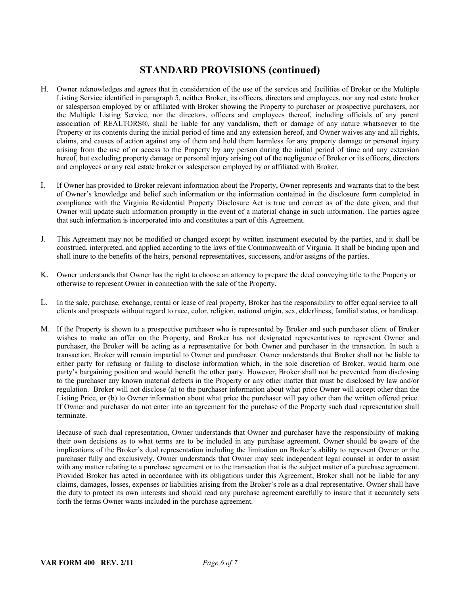## **STANDARD PROVISIONS (continued)**

- H. Owner acknowledges and agrees that in consideration of the use of the services and facilities of Broker or the Multiple Listing Service identified in paragraph 5, neither Broker, its officers, directors and employees, nor any real estate broker or salesperson employed by or affiliated with Broker showing the Property to purchaser or prospective purchasers, nor the Multiple Listing Service, nor the directors, officers and employees thereof, including officials of any parent association of REALTORS®, shall be liable for any vandalism, theft or damage of any nature whatsoever to the Property or its contents during the initial period of time and any extension hereof, and Owner waives any and all rights, claims, and causes of action against any of them and hold them harmless for any property damage or personal injury arising from the use of or access to the Property by any person during the initial period of time and any extension hereof, but excluding property damage or personal injury arising out of the negligence of Broker or its officers, directors and employees or any real estate broker or salesperson employed by or affiliated with Broker.
- I. If Owner has provided to Broker relevant information about the Property, Owner represents and warrants that to the best of Owner's knowledge and belief such information or the information contained in the disclosure form completed in compliance with the Virginia Residential Property Disclosure Act is true and correct as of the date given, and that Owner will update such information promptly in the event of a material change in such information. The parties agree that such information is incorporated into and constitutes a part of this Agreement.
- J. This Agreement may not be modified or changed except by written instrument executed by the parties, and it shall be construed, interpreted, and applied according to the laws of the Commonwealth of Virginia. It shall be binding upon and shall inure to the benefits of the heirs, personal representatives, successors, and/or assigns of the parties.
- K. Owner understands that Owner has the right to choose an attorney to prepare the deed conveying title to the Property or otherwise to represent Owner in connection with the sale of the Property.
- L. In the sale, purchase, exchange, rental or lease of real property, Broker has the responsibility to offer equal service to all clients and prospects without regard to race, color, religion, national origin, sex, elderliness, familial status, or handicap.
- M. If the Property is shown to a prospective purchaser who is represented by Broker and such purchaser client of Broker wishes to make an offer on the Property, and Broker has not designated representatives to represent Owner and purchaser, the Broker will be acting as a representative for both Owner and purchaser in the transaction. In such a transaction, Broker will remain impartial to Owner and purchaser. Owner understands that Broker shall not be liable to either party for refusing or failing to disclose information which, in the sole discretion of Broker, would harm one party's bargaining position and would benefit the other party. However, Broker shall not be prevented from disclosing to the purchaser any known material defects in the Property or any other matter that must be disclosed by law and/or regulation. Broker will not disclose (a) to the purchaser information about what price Owner will accept other than the Listing Price, or (b) to Owner information about what price the purchaser will pay other than the written offered price. If Owner and purchaser do not enter into an agreement for the purchase of the Property such dual representation shall terminate.

Because of such dual representation, Owner understands that Owner and purchaser have the responsibility of making their own decisions as to what terms are to be included in any purchase agreement. Owner should be aware of the implications of the Broker's dual representation including the limitation on Broker's ability to represent Owner or the purchaser fully and exclusively. Owner understands that Owner may seek independent legal counsel in order to assist with any matter relating to a purchase agreement or to the transaction that is the subject matter of a purchase agreement. Provided Broker has acted in accordance with its obligations under this Agreement, Broker shall not be liable for any claims, damages, losses, expenses or liabilities arising from the Broker's role as a dual representative. Owner shall have the duty to protect its own interests and should read any purchase agreement carefully to insure that it accurately sets forth the terms Owner wants included in the purchase agreement.